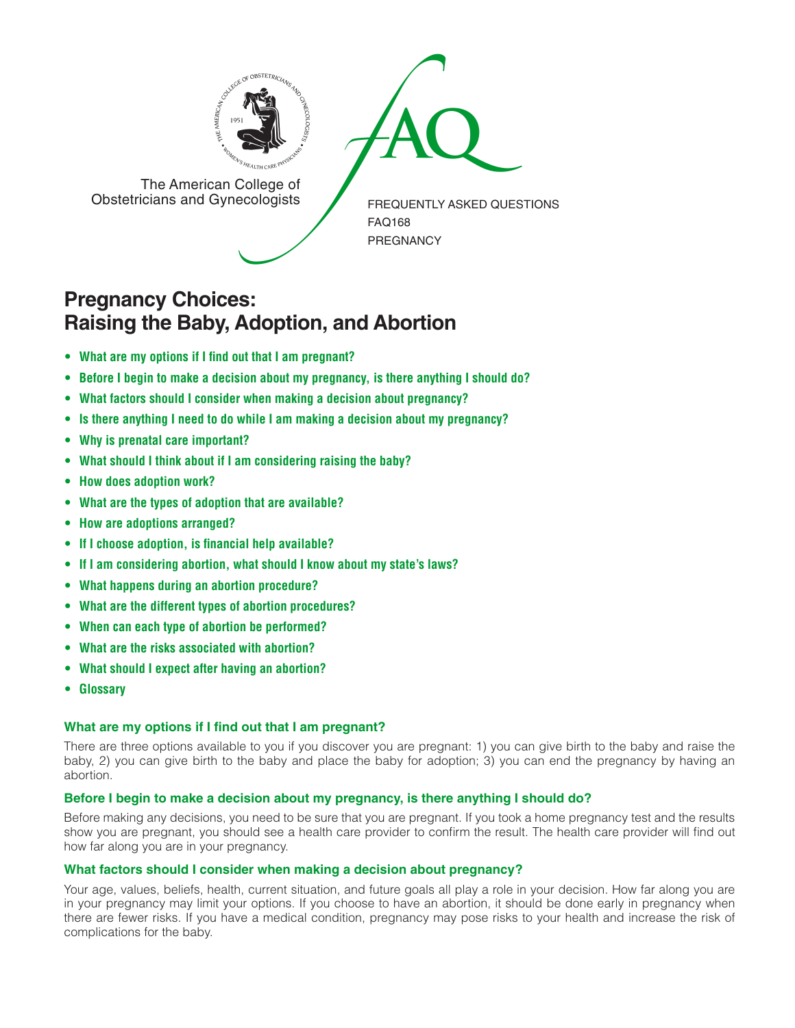



The American College of<br>Obstetricians and Gynecologists

FREQUENTLY ASKED QUESTIONS FAQ168 PREGNANCY

# **Pregnancy Choices: Raising the Baby, Adoption, and Abortion**

- **• What are my options if I find out that I am [pregnant?](#page-0-0)**
- **• Before I begin to make a decision about my [pregnancy,](#page-0-1) is there anything I should do?**
- **• What factors should I consider when making a decision about [pregnancy?](#page-0-2)**
- **• Is there anything I need to do while I am making a decision about my [pregnancy?](#page-1-0)**
- **• Why is prenatal care [important?](#page-1-1)**
- **• What should I think about if I am [considering](#page-1-2) raising the baby?**
- **• How does [adoption](#page-1-3) work?**
- **• What are the types of adoption that are [available?](#page-1-4)**
- **• How are adoptions [arranged?](#page-1-5)**
- **• If I choose adoption, is financial help [available?](#page-1-6)**
- **• If I am considering abortion, what should I know about my state's laws?**
- **• What happens during an abortion [procedure?](#page-1-7)**
- **• What are the different types of abortion [procedures?](#page-1-8)**
- **• When can each type of abortion be [performed?](#page-2-0)**
- **• What are the risks [associated](#page-2-1) with abortion?**
- **• What should I expect after having an [abortion?](#page-2-2)**
- **• [Glossary](#page-2-3)**

## <span id="page-0-0"></span>**What are my options if I find out that I am pregnant?**

There are three options available to you if you discover you are pregnant: 1) you can give birth to the baby and raise the baby, 2) you can give birth to the baby and place the baby for adoption; 3) you can end the pregnancy by having an abortion.

## <span id="page-0-1"></span>**Before I begin to make a decision about my pregnancy, is there anything I should do?**

Before making any decisions, you need to be sure that you are pregnant. If you took a home pregnancy test and the results show you are pregnant, you should see a health care provider to confirm the result. The health care provider will find out how far along you are in your pregnancy.

## <span id="page-0-2"></span>**What factors should I consider when making a decision about pregnancy?**

Your age, values, beliefs, health, current situation, and future goals all play a role in your decision. How far along you are in your pregnancy may limit your options. If you choose to have an abortion, it should be done early in pregnancy when there are fewer risks. If you have a medical condition, pregnancy may pose risks to your health and increase the risk of complications for the baby.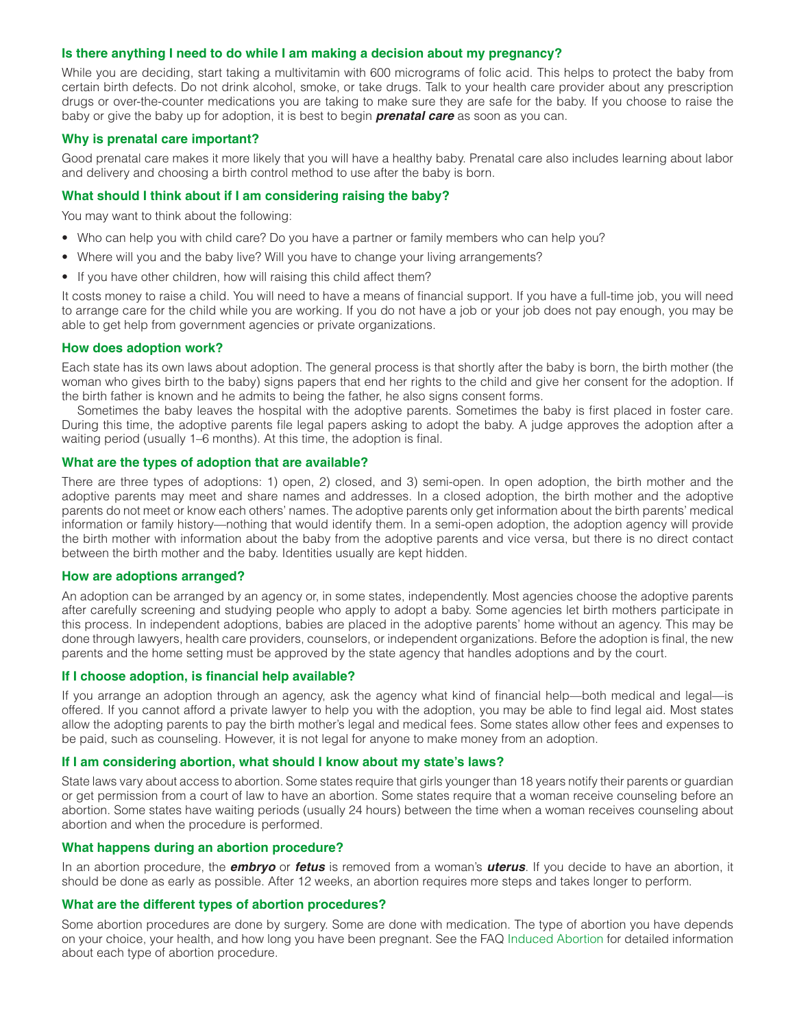## <span id="page-1-0"></span>**Is there anything I need to do while I am making a decision about my pregnancy?**

While you are deciding, start taking a multivitamin with 600 micrograms of folic acid. This helps to protect the baby from certain birth defects. Do not drink alcohol, smoke, or take drugs. Talk to your health care provider about any prescription drugs or over-the-counter medications you are taking to make sure they are safe for the baby. If you choose to raise the baby or give the baby up for adoption, it is best to begin *prenatal care* as soon as you can.

## <span id="page-1-1"></span>**Why is prenatal care important?**

Good prenatal care makes it more likely that you will have a healthy baby. Prenatal care also includes learning about labor and delivery and choosing a birth control method to use after the baby is born.

#### <span id="page-1-2"></span>**What should I think about if I am considering raising the baby?**

You may want to think about the following:

- Who can help you with child care? Do you have a partner or family members who can help you?
- Where will you and the baby live? Will you have to change your living arrangements?
- If you have other children, how will raising this child affect them?

It costs money to raise a child. You will need to have a means of financial support. If you have a full-time job, you will need to arrange care for the child while you are working. If you do not have a job or your job does not pay enough, you may be able to get help from government agencies or private organizations.

#### <span id="page-1-3"></span>**How does adoption work?**

Each state has its own laws about adoption. The general process is that shortly after the baby is born, the birth mother (the woman who gives birth to the baby) signs papers that end her rights to the child and give her consent for the adoption. If the birth father is known and he admits to being the father, he also signs consent forms.

Sometimes the baby leaves the hospital with the adoptive parents. Sometimes the baby is first placed in foster care. During this time, the adoptive parents file legal papers asking to adopt the baby. A judge approves the adoption after a waiting period (usually 1–6 months). At this time, the adoption is final.

#### <span id="page-1-4"></span>**What are the types of adoption that are available?**

There are three types of adoptions: 1) open, 2) closed, and 3) semi-open. In open adoption, the birth mother and the adoptive parents may meet and share names and addresses. In a closed adoption, the birth mother and the adoptive parents do not meet or know each others' names. The adoptive parents only get information about the birth parents' medical information or family history—nothing that would identify them. In a semi-open adoption, the adoption agency will provide the birth mother with information about the baby from the adoptive parents and vice versa, but there is no direct contact between the birth mother and the baby. Identities usually are kept hidden.

#### <span id="page-1-5"></span>**How are adoptions arranged?**

An adoption can be arranged by an agency or, in some states, independently. Most agencies choose the adoptive parents after carefully screening and studying people who apply to adopt a baby. Some agencies let birth mothers participate in this process. In independent adoptions, babies are placed in the adoptive parents' home without an agency. This may be done through lawyers, health care providers, counselors, or independent organizations. Before the adoption is final, the new parents and the home setting must be approved by the state agency that handles adoptions and by the court.

#### <span id="page-1-6"></span>**If I choose adoption, is financial help available?**

If you arrange an adoption through an agency, ask the agency what kind of financial help—both medical and legal—is offered. If you cannot afford a private lawyer to help you with the adoption, you may be able to find legal aid. Most states allow the adopting parents to pay the birth mother's legal and medical fees. Some states allow other fees and expenses to be paid, such as counseling. However, it is not legal for anyone to make money from an adoption.

#### **If I am considering abortion, what should I know about my state's laws?**

State laws vary about access to abortion. Some states require that girls younger than 18 years notify their parents or guardian or get permission from a court of law to have an abortion. Some states require that a woman receive counseling before an abortion. Some states have waiting periods (usually 24 hours) between the time when a woman receives counseling about abortion and when the procedure is performed.

#### <span id="page-1-7"></span>**What happens during an abortion procedure?**

In an abortion procedure, the *embryo* or *fetus* is removed from a woman's *uterus*. If you decide to have an abortion, it should be done as early as possible. After 12 weeks, an abortion requires more steps and takes longer to perform.

## <span id="page-1-8"></span>**What are the different types of abortion procedures?**

Some abortion procedures are done by surgery. Some are done with medication. The type of abortion you have depends on your choice, your health, and how long you have been pregnant. See the FAQ [Induced Abortion](http://www.acog.org/~/media/For%20Patients/faq043.pdf?dmc=1&ts=20130116T1532291685) for detailed information about each type of abortion procedure.